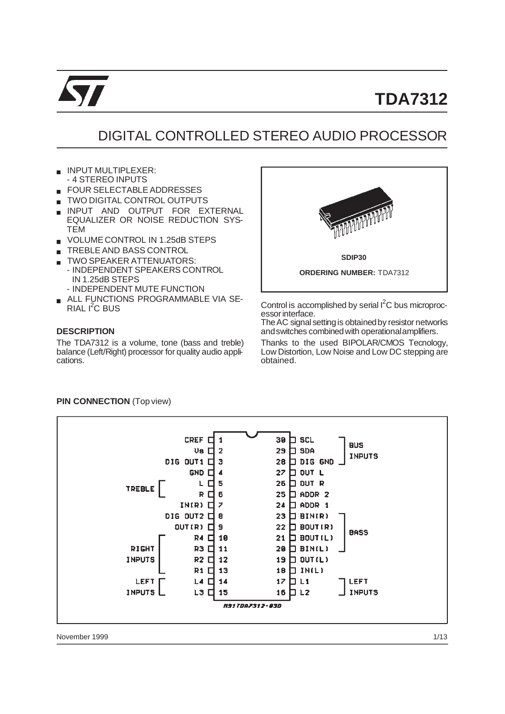

# DIGITAL CONTROLLED STEREO AUDIO PROCESSOR

- INPUT MULTIPLEXER: - 4 STEREO INPUTS
- FOUR SELECTABLE ADDRESSES
- TWO DIGITAL CONTROL OUTPUTS
- INPUT AND OUTPUT FOR EXTERNAL EQUALIZER OR NOISE REDUCTION SYS-TEM
- VOLUME CONTROL IN 1.25dB STEPS
- TREBLE AND BASS CONTROL
- TWO SPEAKER ATTENUATORS:
- INDEPENDENT SPEAKERS CONTROL IN 1.25dB STEPS
	- INDEPENDENT MUTE FUNCTION
- **ALL FUNCTIONS PROGRAMMABLE VIA SE-**RIAL I<sup>2</sup>C BUS

#### **DESCRIPTION**

The TDA7312 is a volume, tone (bass and treble) balance (Left/Right) processor for quality audio applications.



Control is accomplished by serial  $I<sup>2</sup>C$  bus microprocessor interface.

The AC signal setting is obtained by resistor networks andswitches combinedwith operationalamplifiers.

Thanks to the used BIPOLAR/CMOS Tecnology, Low Distortion, Low Noise and Low DC stepping are obtained.



#### **PIN CONNECTION** (Top view)

November 1999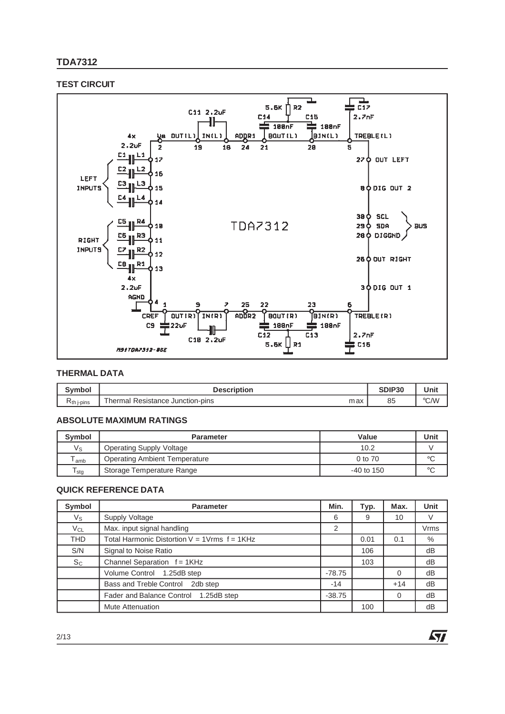# **TEST CIRCUIT**



#### **THERMAL DATA**

| <b>Symbol</b>   | <b>Description</b>                        | SDIP30 | Unit |
|-----------------|-------------------------------------------|--------|------|
| $R_{th}$ i-pins | max<br>Resistance Junction-pins<br>hermal | 85     | °C/W |

### **ABSOLUTE MAXIMUM RATINGS**

| <b>Symbol</b> | <b>Parameter</b>                     | Value        | Unit    |
|---------------|--------------------------------------|--------------|---------|
| $V_{\rm S}$   | <b>Operating Supply Voltage</b>      | 10.2         |         |
| amb           | <b>Operating Ambient Temperature</b> | 0 to 70      | °C      |
| l stg         | Storage Temperature Range            | $-40$ to 150 | $\circ$ |

## **QUICK REFERENCE DATA**

| Symbol     | <b>Parameter</b>                                   | Min.     | Typ. | Max.  | <b>Unit</b> |
|------------|----------------------------------------------------|----------|------|-------|-------------|
| Vs         | Supply Voltage                                     | 6        | 9    | 10    | ٧           |
| $V_{CL}$   | Max. input signal handling                         | 2        |      |       | Vrms        |
| <b>THD</b> | Total Harmonic Distortion $V = 1$ Vrms $f = 1$ KHz |          | 0.01 | 0.1   | %           |
| S/N        | Signal to Noise Ratio                              |          | 106  |       | dB          |
| $S_C$      | Channel Separation f = 1KHz                        |          | 103  |       | dB          |
|            | Volume Control 1.25dB step                         | $-78.75$ |      | 0     | dB          |
|            | Bass and Treble Control<br>2db step                | $-14$    |      | $+14$ | dB          |
|            | Fader and Balance Control 1.25dB step              | $-38.75$ |      | 0     | dB          |
|            | <b>Mute Attenuation</b>                            |          | 100  |       | dВ          |

牙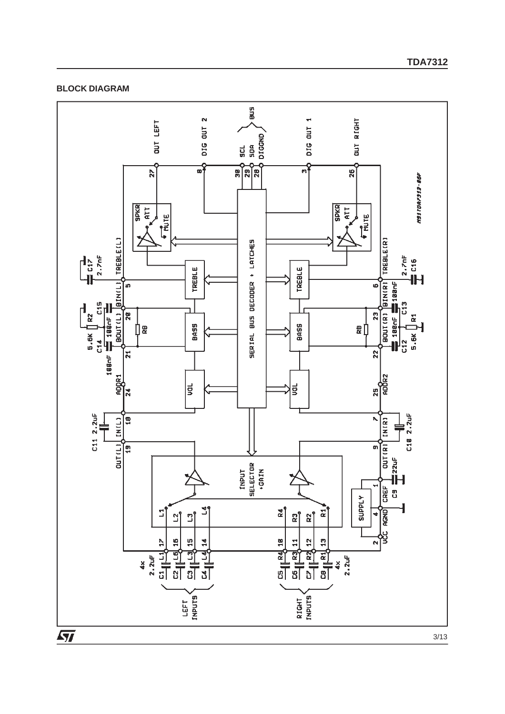

### **BLOCK DIAGRAM**

**TDA7312**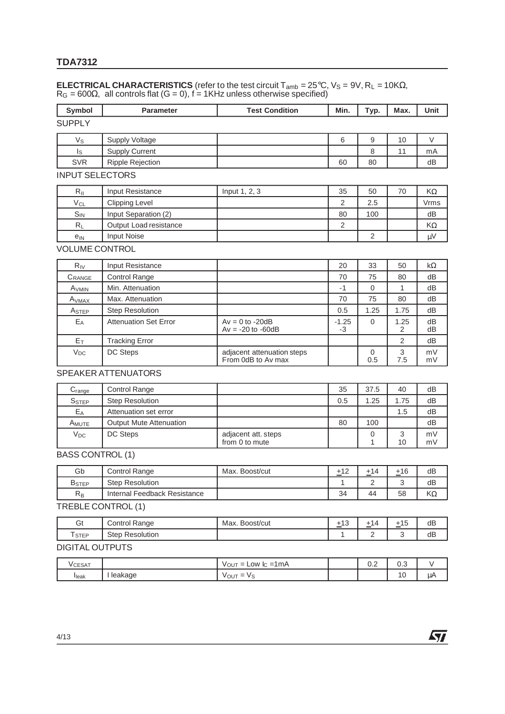# **ELECTRICAL CHARACTERISTICS** (refer to the test circuit T<sub>amb</sub> = 25°C, V<sub>S</sub> = 9V, R<sub>L</sub> = 10KΩ, R<sub>G</sub> = 600Ω, all controls flat (G = 0), f = 1KHz unless otherwise specified)

| <b>Symbol</b>            | <b>Parameter</b>               | <b>Test Condition</b>                            | Min.           | Typ.             | Max.                      | Unit      |
|--------------------------|--------------------------------|--------------------------------------------------|----------------|------------------|---------------------------|-----------|
| <b>SUPPLY</b>            |                                |                                                  |                |                  |                           |           |
| $V_{S}$                  | <b>Supply Voltage</b>          |                                                  | 6              | $\boldsymbol{9}$ | 10                        | V         |
| Is                       | <b>Supply Current</b>          |                                                  |                | 8                | 11                        | mA        |
| <b>SVR</b>               | <b>Ripple Rejection</b>        |                                                  | 60             | 80               |                           | dB        |
| <b>INPUT SELECTORS</b>   |                                |                                                  |                |                  |                           |           |
| $R_{\parallel}$          | Input Resistance               | Input 1, 2, 3                                    | 35             | 50               | 70                        | $K\Omega$ |
| $V_{CL}$                 | <b>Clipping Level</b>          |                                                  | $\overline{2}$ | 2.5              |                           | Vrms      |
| $S_{IN}$                 | Input Separation (2)           |                                                  | 80             | 100              |                           | dB        |
| $R_L$                    | Output Load resistance         |                                                  | 2              |                  |                           | ΚΩ        |
| $e_{IN}$                 | <b>Input Noise</b>             |                                                  |                | $\overline{2}$   |                           | μV        |
| <b>VOLUME CONTROL</b>    |                                |                                                  |                |                  |                           |           |
| $R_{IV}$                 | Input Resistance               |                                                  | 20             | 33               | 50                        | $k\Omega$ |
| CRANGE                   | <b>Control Range</b>           |                                                  | 70             | 75               | 80                        | dB        |
| A <sub>VMIN</sub>        | Min. Attenuation               |                                                  | $-1$           | $\overline{0}$   | 1                         | dB        |
| A <sub>VMAX</sub>        | Max. Attenuation               |                                                  | 70             | 75               | 80                        | dB        |
| ASTEP                    | <b>Step Resolution</b>         |                                                  | 0.5            | 1.25             | 1.75                      | dB        |
| $E_A$                    | <b>Attenuation Set Error</b>   | $Av = 0$ to -20dB<br>$Av = -20$ to $-60dB$       | $-1.25$<br>-3  | $\mathbf 0$      | 1.25<br>2                 | dB<br>dB  |
| $E_T$                    | <b>Tracking Error</b>          |                                                  |                |                  | $\overline{2}$            | dB        |
| <b>V<sub>DC</sub></b>    | DC Steps                       | adjacent attenuation steps<br>From 0dB to Av max |                | 0<br>0.5         | 3<br>7.5                  | mV<br>mV  |
|                          | <b>SPEAKER ATTENUATORS</b>     |                                                  |                |                  |                           |           |
| $C_{\text{range}}$       | <b>Control Range</b>           |                                                  | 35             | 37.5             | 40                        | dB        |
| S <sub>STEP</sub>        | <b>Step Resolution</b>         |                                                  | 0.5            | 1.25             | 1.75                      | dB        |
| EA                       | Attenuation set error          |                                                  |                |                  | 1.5                       | dВ        |
| AMUTE                    | <b>Output Mute Attenuation</b> |                                                  | 80             | 100              |                           | dB        |
| $V_{DC}$                 | DC Steps                       | adjacent att. steps<br>from 0 to mute            |                | 0<br>1           | 3<br>10                   | mV<br>mV  |
| <b>BASS CONTROL (1)</b>  |                                |                                                  |                |                  |                           |           |
| Gb                       | <b>Control Range</b>           | Max. Boost/cut                                   | ±12            | ±14              | ±16                       | dB        |
| $B_{\underline{STEP}}$   | <b>Step Resolution</b>         |                                                  | $\mathbf{1}$   | $\sqrt{2}$       | $\ensuremath{\mathsf{3}}$ | dB        |
| $R_B$                    | Internal Feedback Resistance   |                                                  | 34             | 44               | 58                        | ΚΩ        |
| TREBLE CONTROL (1)       |                                |                                                  |                |                  |                           |           |
| Gt                       | Control Range                  | Max. Boost/cut                                   | ±13            | ±14              | ±15                       | dB        |
| <b>T</b> <sub>STEP</sub> | <b>Step Resolution</b>         |                                                  | 1              | 2                | 3                         | dB        |
| <b>DIGITAL OUTPUTS</b>   |                                |                                                  |                |                  |                           |           |
| <b>VCESAT</b>            |                                | $V_{OUT} = Low \, lc = 1 \, mA$                  |                | 0.2              | 0.3                       | V         |
| $I_{\text{leak}}$        | I leakage                      | $V_{OUT} = V_S$                                  |                |                  | 10                        | μA        |

牙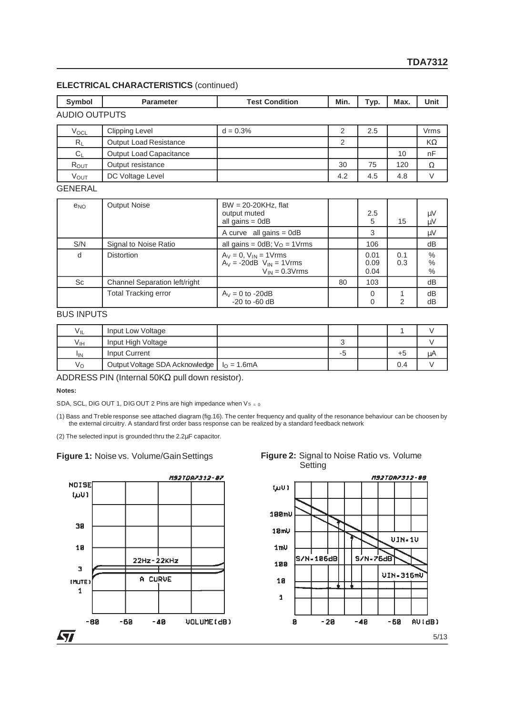### **ELECTRICAL CHARACTERISTICS** (continued)

| Symbol               | <b>Parameter</b>        | <b>Test Condition</b> | Min. | Typ. | Max. | Unit |
|----------------------|-------------------------|-----------------------|------|------|------|------|
| <b>AUDIO OUTPUTS</b> |                         |                       |      |      |      |      |
| VocL                 | Clipping Level          | $d = 0.3\%$           | 2    | 2.5  |      | Vrms |
| $R_L$                | Output Load Resistance  |                       | 2    |      |      | KΩ   |
| $C_L$                | Output Load Capacitance |                       |      |      | 10   | nF   |
| ROUT                 | Output resistance       |                       | 30   | 75   | 120  | Ω    |
| V <sub>OUT</sub>     | DC Voltage Level        |                       | 4.2  | 4.5  | 4.8  |      |

#### GENERAL

| e <sub>NO</sub> | <b>Output Noise</b>           | $BW = 20-20KHz$ , flat<br>output muted<br>all gains = $0dB$                             |    | 2.5<br>5             | 15         | μV<br>μV          |
|-----------------|-------------------------------|-----------------------------------------------------------------------------------------|----|----------------------|------------|-------------------|
|                 |                               | A curve all gains $=$ 0dB                                                               |    | 3                    |            | $\mu$ V           |
| S/N             | Signal to Noise Ratio         | all gains = $0dB$ ; $VO$ = 1Vrms                                                        |    | 106                  |            | dB                |
| d               | <b>Distortion</b>             | $A_V = 0$ , $V_{IN} = 1V$ rms<br>$A_V = -20dB$ $V_{IN} = 1V$ rms<br>$V_{IN} = 0.3V$ rms |    | 0.01<br>0.09<br>0.04 | 0.1<br>0.3 | $\%$<br>%<br>$\%$ |
| <b>Sc</b>       | Channel Separation left/right |                                                                                         | 80 | 103                  |            | dB                |
|                 | <b>Total Tracking error</b>   | $A_V = 0$ to -20dB<br>$-20$ to $-60$ dB                                                 |    | 0<br>$\Omega$        | 2          | dB<br>dB          |

#### BUS INPUTS

| $V_{IL}$        | Input Low Voltage                                 |    |      |    |
|-----------------|---------------------------------------------------|----|------|----|
| Vıн             | Input High Voltage                                |    |      |    |
| <sup>I</sup> IN | Input Current                                     | -5 | $+5$ | uΡ |
| $V_{\rm O}$     | Output Voltage SDA Acknowledge $ $ $ _0 = 1.6$ mA |    | 0.4  |    |

ADDRESS PIN (Internal 50KΩ pull down resistor).

#### **Notes:**

**NOISE** 

tuU)

30

18

 $\mathbf{3}$ 

tHUTE:  $\mathbf{1}$ 

57

 $-80$ 

 $-68$ 

SDA, SCL, DIG OUT 1, DIG OUT 2 Pins are high impedance when  $Vs = 0$ 

22Hz-22KHz

A CURVE

 $-48$ 

<u>1192TDA7312-87</u>

(1) Bass and Treble response see attached diagram (fig.16). The center frequency and quality of the resonance behaviour can be choosen by the external circuitry. A standard first order bass response can be realized by a standard feedback network

(2) The selected input is grounded thru the 2.2µF capacitor.





#### **Figure 2:** Signal to Noise Ratio vs. Volume **Setting**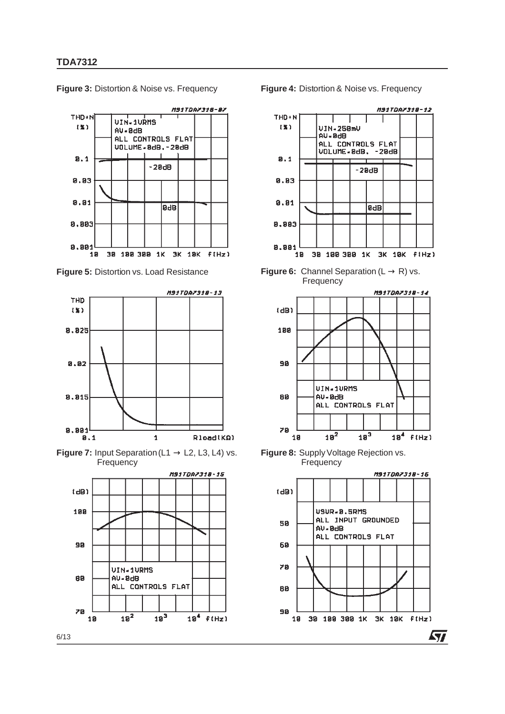**Figure 3:** Distortion & Noise vs. Frequency **Figure 4:** Distortion & Noise vs. Frequency



**Figure 5:** Distortion vs. Load Resistance



**Figure 7:** Input Separation (L1  $\rightarrow$  L2, L3, L4) vs. **Frequency** 









**Figure 8:** Supply Voltage Rejection vs. **Frequency** 

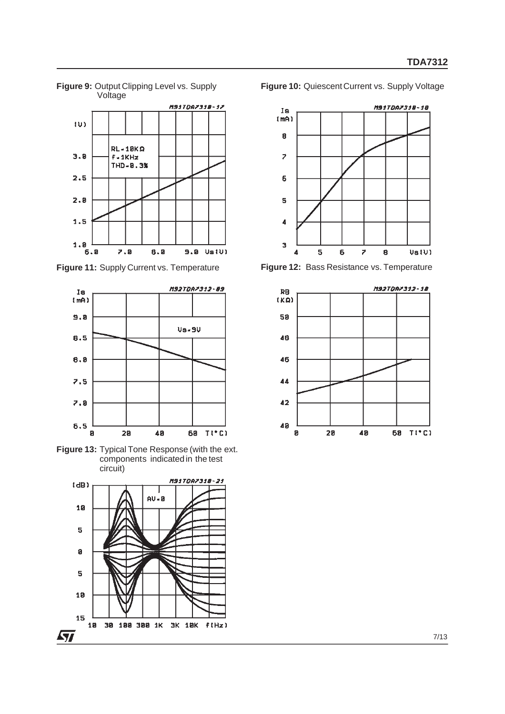

**Figure 9:** Output Clipping Level vs. Supply Voltage

**Figure 11:** Supply Current vs. Temperature



**Figure 13:** Typical Tone Response (with the ext. components indicated in the test circuit)



Figure 10: Quiescent Current vs. Supply Voltage



**Figure 12:** Bass Resistance vs. Temperature

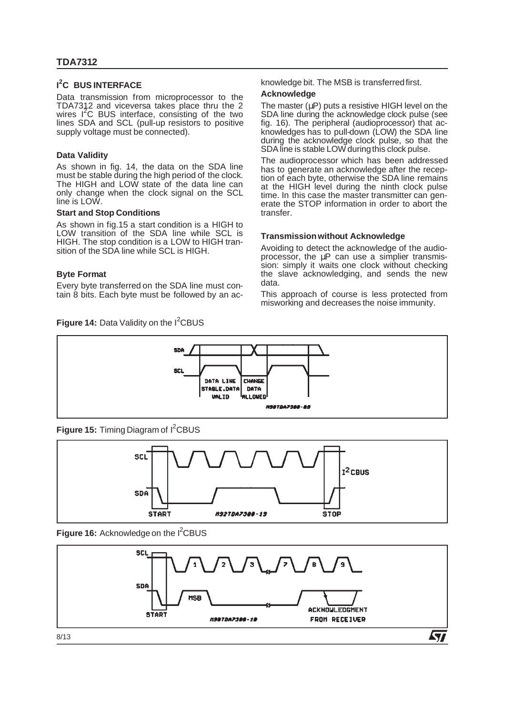# **I 2 C BUS INTERFACE**

Data transmission from microprocessor to the TDA7312 and viceversa takes place thru the 2<br>wires 1<sup>2</sup>C BUS interface, consisting of the two lines SDA and SCL (pull-up resistors to positive supply voltage must be connected).

#### **Data Validity**

As shown in fig. 14, the data on the SDA line must be stable during the high period of the clock. The HIGH and LOW state of the data line can only change when the clock signal on the SCL line is LOW.

#### **Start and Stop Conditions**

As shown in fig.15 a start condition is a HIGH to LOW transition of the SDA line while SCL is HIGH. The stop condition is a LOW to HIGH transition of the SDA line while SCL is HIGH.

#### **Byte Format**

Every byte transferred on the SDA line must contain 8 bits. Each byte must be followed by an ac-



knowledge bit. The MSB is transferredfirst.

#### **Acknowledge**

The master  $(\mu P)$  puts a resistive HIGH level on the SDA line during the acknowledge clock pulse (see fig. 16). The peripheral (audioprocessor) that acknowledges has to pull-down (LOW) the SDA line during the acknowledge clock pulse, so that the SDA line is stable LOW duringthis clock pulse.

The audioprocessor which has been addressed has to generate an acknowledge after the reception of each byte, otherwise the SDA line remains at the HIGH level during the ninth clock pulse time. In this case the master transmitter can generate the STOP information in order to abort the transfer.

#### **Transmission without Acknowledge**

Avoiding to detect the acknowledge of the audioprocessor, the µP can use a simplier transmission: simply it waits one clock without checking the slave acknowledging, and sends the new data.

This approach of course is less protected from misworking and decreases the noise immunity.



**Figure 15:** Timing Diagram of I<sup>2</sup>CBUS



Figure 16: Acknowledge on the <sup>2</sup>CBUS

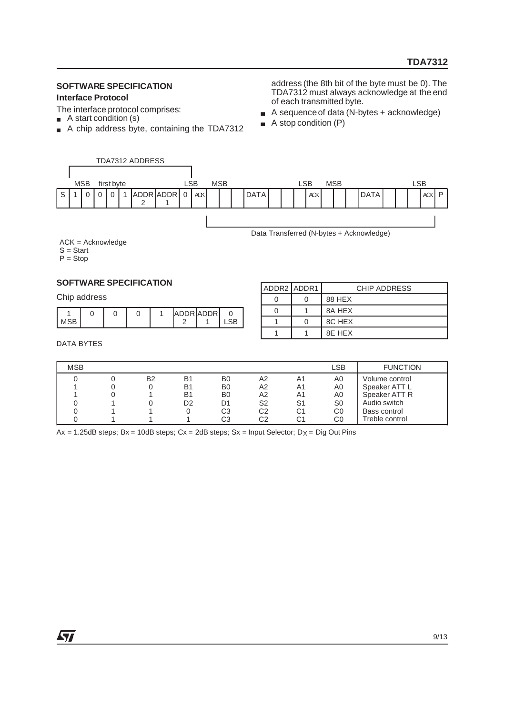# **SOFTWARE SPECIFICATION Interface Protocol**

The interface protocol comprises:

- $\blacksquare$  A start condition (s)
- A chip address byte, containing the TDA7312

address (the 8th bit of the byte must be 0). The TDA7312 must always acknowledge at the end of each transmitted byte.

- A sequence of data (N-bytes + acknowledge)
- A stop condition (P)  $\blacksquare$



Data Transferred (N-bytes + Acknowledge)

0 0 88 HEX 0 | 1 | 8A HEX  $1 \quad 0 \quad$  8C HEX 1 1 8E HEX

ADDR2 ADDR1 CHIP ADDRESS

ACK = Acknowledge S = Start

 $P = Stop$ 

# **SOFTWARE SPECIFICATION**

Chip address

|  |  |  | JR ADDR I |  |
|--|--|--|-----------|--|

DATA BYTES

| <b>MSB</b> |                |           |                |                |                | LSB            | <b>FUNCTION</b> |
|------------|----------------|-----------|----------------|----------------|----------------|----------------|-----------------|
|            | B <sub>2</sub> | <b>B1</b> | B0             | A2             | A1             | A0             | Volume control  |
|            |                | <b>B1</b> | B <sub>0</sub> | А2             | A1             | A0             | Speaker ATT L   |
|            |                | <b>B1</b> | B <sub>0</sub> | A <sub>2</sub> | A1             | A0             | Speaker ATT R   |
|            |                | D2        | D1             | S2             | S <sub>1</sub> | S <sub>0</sub> | Audio switch    |
|            |                |           | C <sub>3</sub> | C2             | C1             | C <sub>0</sub> | Bass control    |
|            |                |           | C3             | C2             | С1             | C0             | Treble control  |

Ax = 1.25dB steps; Bx = 10dB steps;  $Cx = 2dB$  steps;  $Sx =$  Input Selector;  $Dx =$  Dig Out Pins

*ky*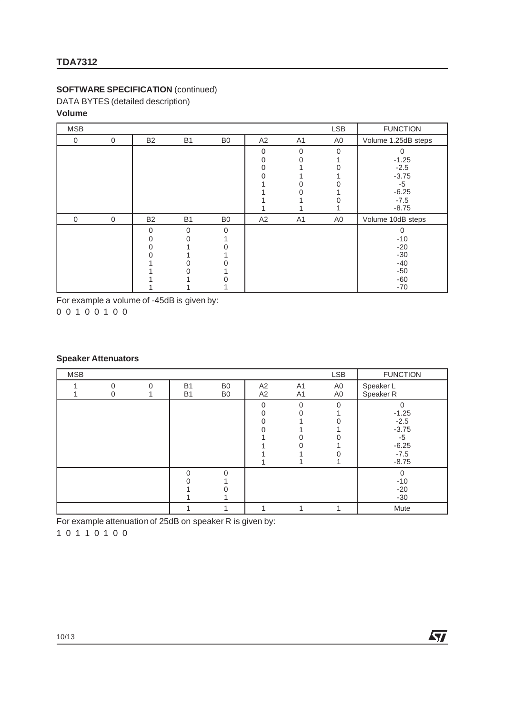# **SOFTWARE SPECIFICATION** (continued)

DATA BYTES (detailed description)

# **Volume**

| <b>MSB</b>  |             |                |           |                |          |                | <b>LSB</b>     | <b>FUNCTION</b>     |
|-------------|-------------|----------------|-----------|----------------|----------|----------------|----------------|---------------------|
| 0           | $\mathbf 0$ | <b>B2</b>      | <b>B1</b> | B <sub>0</sub> | A2       | A <sub>1</sub> | A0             | Volume 1.25dB steps |
|             |             |                |           |                | $\Omega$ | $\Omega$       | $\mathbf 0$    | $\Omega$            |
|             |             |                |           |                | 0        | 0              |                | $-1.25$             |
|             |             |                |           |                | 0        |                | 0              | $-2.5$              |
|             |             |                |           |                | 0        |                |                | $-3.75$             |
|             |             |                |           |                |          |                | 0              | $-5$                |
|             |             |                |           |                |          |                |                | $-6.25$             |
|             |             |                |           |                |          |                | 0              | $-7.5$              |
|             |             |                |           |                |          |                |                | $-8.75$             |
| $\mathbf 0$ | $\mathbf 0$ | B <sub>2</sub> | <b>B1</b> | B <sub>0</sub> | A2       | A <sub>1</sub> | A <sub>0</sub> | Volume 10dB steps   |
|             |             | 0              | $\Omega$  | 0              |          |                |                | 0                   |
|             |             | 0              |           |                |          |                |                | $-10$               |
|             |             | 0              |           |                |          |                |                | $-20$               |
|             |             | ი              |           |                |          |                |                | $-30$               |
|             |             |                |           |                |          |                |                | $-40$               |
|             |             |                |           |                |          |                |                | $-50$               |
|             |             |                |           |                |          |                |                | $-60$               |
|             |             |                |           |                |          |                |                | $-70$               |

For example a volume of -45dB is given by:

# **Speaker Attenuators**

| <b>MSB</b> |          |   |                        |                                  |          |                                  | <b>LSB</b> | <b>FUNCTION</b>                                                         |
|------------|----------|---|------------------------|----------------------------------|----------|----------------------------------|------------|-------------------------------------------------------------------------|
|            | $\Omega$ | 0 | <b>B1</b><br><b>B1</b> | B <sub>0</sub><br>B <sub>0</sub> | A2<br>A2 | A <sub>1</sub><br>A <sub>1</sub> | A0<br>A0   | Speaker L<br>Speaker <sub>R</sub>                                       |
|            |          |   |                        |                                  | $\Omega$ | $\Omega$                         | $\Omega$   | 0<br>$-1.25$<br>$-2.5$<br>$-3.75$<br>-5<br>$-6.25$<br>$-7.5$<br>$-8.75$ |
|            |          |   | $\Omega$               | $\Omega$                         |          |                                  |            | $\mathbf 0$<br>$-10$<br>$-20$<br>$-30$                                  |
|            |          |   |                        |                                  |          |                                  |            | Mute                                                                    |

勾

For example attenuation of 25dB on speaker R is given by: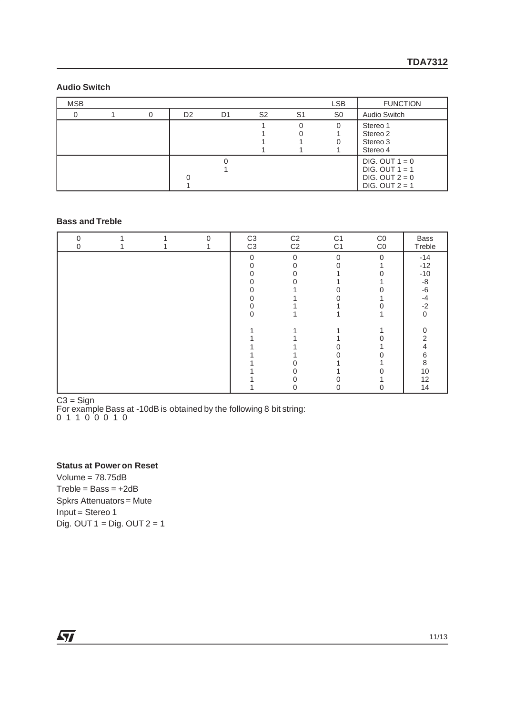# **Audio Switch**

| <b>MSB</b> |  |                |    |                |    | <b>LSB</b>     | <b>FUNCTION</b>  |
|------------|--|----------------|----|----------------|----|----------------|------------------|
|            |  | D <sub>2</sub> | D1 | S <sub>2</sub> | S1 | S <sub>0</sub> | Audio Switch     |
|            |  |                |    |                |    |                | Stereo 1         |
|            |  |                |    |                |    |                | Stereo 2         |
|            |  |                |    |                |    |                | Stereo 3         |
|            |  |                |    |                |    |                | Stereo 4         |
|            |  |                |    |                |    |                | DIG. OUT $1 = 0$ |
|            |  |                |    |                |    |                | DIG. OUT $1 = 1$ |
|            |  |                |    |                |    |                | DIG. OUT $2 = 0$ |
|            |  |                |    |                |    |                | DIG. OUT $2 = 1$ |

# **Bass and Treble**

|  | $\Omega$ | C <sub>3</sub><br>C <sub>3</sub> | $_{C2}^{C2}$ | C <sub>1</sub><br>C <sub>1</sub> | CO<br>CO | Bass<br>Treble |
|--|----------|----------------------------------|--------------|----------------------------------|----------|----------------|
|  |          | $\Omega$                         | $\mathbf 0$  | $\Omega$                         | $\Omega$ | $-14$          |
|  |          |                                  |              |                                  |          | $-12$          |
|  |          |                                  |              |                                  |          | $-10$          |
|  |          |                                  |              |                                  |          | -8             |
|  |          |                                  |              |                                  |          | $-6$           |
|  |          |                                  |              |                                  |          | $-4$           |
|  |          |                                  |              |                                  |          | $-2$           |
|  |          | ∩                                |              |                                  |          | 0              |
|  |          |                                  |              |                                  |          |                |
|  |          |                                  |              |                                  |          |                |
|  |          |                                  |              |                                  |          |                |
|  |          |                                  |              |                                  |          |                |
|  |          |                                  |              |                                  |          | 6              |
|  |          |                                  |              |                                  |          | 8              |
|  |          |                                  |              |                                  |          | 10             |
|  |          |                                  |              |                                  |          | 12             |
|  |          |                                  |              |                                  |          | 14             |

C3 = Sign

For example Bass at -10dB is obtained by the following 8 bit string:

## **Status at Power on Reset**

Volume = 78.75dB  $Treble = Bass = +2dB$ Spkrs Attenuators = Mute Input = Stereo 1 Dig. OUT  $1 =$  Dig. OUT  $2 = 1$ 

ィ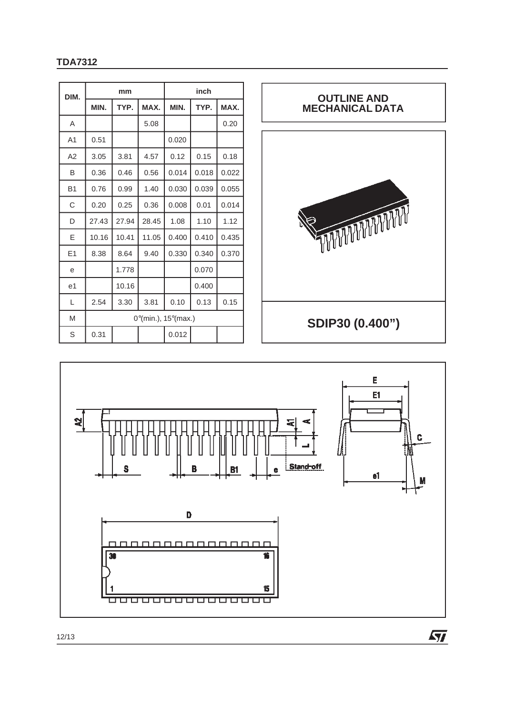

| A              |                                          |       | 5.08  |       |       | 0.20  |  |  |  |
|----------------|------------------------------------------|-------|-------|-------|-------|-------|--|--|--|
| A <sub>1</sub> | 0.51                                     |       |       | 0.020 |       |       |  |  |  |
| A2             | 3.05                                     | 3.81  | 4.57  | 0.12  | 0.15  | 0.18  |  |  |  |
| B              | 0.36                                     | 0.46  | 0.56  | 0.014 | 0.018 | 0.022 |  |  |  |
| <b>B1</b>      | 0.76                                     | 0.99  | 1.40  | 0.030 | 0.039 | 0.055 |  |  |  |
| C              | 0.20                                     | 0.25  | 0.36  | 0.008 | 0.01  | 0.014 |  |  |  |
| D              | 27.43                                    | 27.94 | 28.45 | 1.08  | 1.10  | 1.12  |  |  |  |
| Ε              | 10.16                                    | 10.41 | 11.05 | 0.400 | 0.410 | 0.435 |  |  |  |
| E1             | 8.38                                     | 8.64  | 9.40  | 0.330 | 0.340 | 0.370 |  |  |  |
| e              |                                          | 1.778 |       |       | 0.070 |       |  |  |  |
| e <sub>1</sub> |                                          | 10.16 |       |       | 0.400 |       |  |  |  |
| L              | 2.54                                     | 3.30  | 3.81  | 0.10  | 0.13  | 0.15  |  |  |  |
| M              | $0^{\circ}$ (min.), 15 $^{\circ}$ (max.) |       |       |       |       |       |  |  |  |
| S              | 0.31                                     |       |       | 0.012 |       |       |  |  |  |

**mm inch MIN.** TYP. MAX. MIN. TYP. MAX.



**SDIP30 (0.400")**

牙

# **OUTLINE AND**

**TDA7312**

**DIM.**